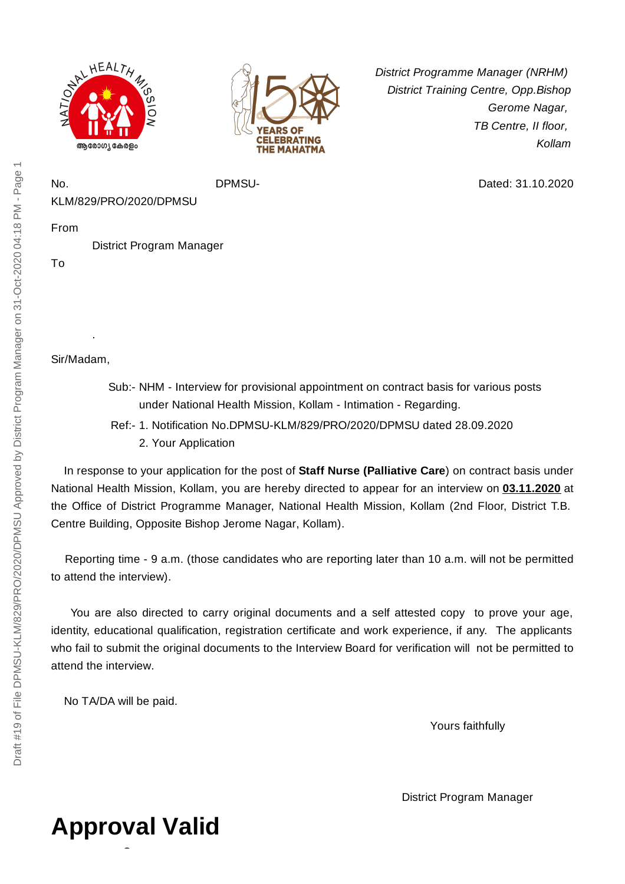



*District Programme Manager (NRHM) District Training Centre, Opp.Bishop Gerome Nagar, TB Centre, II floor, Kollam*

Dated: 31.10.2020

KLM/829/PRO/2020/DPMSU

From

District Program Manager

No. DPMSU-

To

Sir/Madam,

.

- Sub:- NHM Interview for provisional appointment on contract basis for various posts under National Health Mission, Kollam - Intimation - Regarding.
- Ref:- 1. Notification No.DPMSU-KLM/829/PRO/2020/DPMSU dated 28.09.2020 2. Your Application

In response to your application for the post of **Staff Nurse (Palliative Care**) on contract basis under National Health Mission, Kollam, you are hereby directed to appear for an interview on **03.11.2020** at the Office of District Programme Manager, National Health Mission, Kollam (2nd Floor, District T.B. Centre Building, Opposite Bishop Jerome Nagar, Kollam).

Reporting time - 9 a.m. (those candidates who are reporting later than 10 a.m. will not be permitted to attend the interview).

You are also directed to carry original documents and a self attested copy to prove your age, identity, educational qualification, registration certificate and work experience, if any. The applicants who fail to submit the original documents to the Interview Board for verification will not be permitted to attend the interview.

No TA/DA will be paid.

Yours faithfully

District Program Manager

## Draft #19 of File DPMSU-KLM/829/PRO/2020/DPMSU Approved by District Program Manager on 31-Oct-2020 04:18 PM - Page 1 Draft #19 of File DPMSU-KLM/829/PRO/2020/DPMSU Approved by District Program Manager on 31-Oct-2020 04:18 PM - Page 1

## **Approval Valid**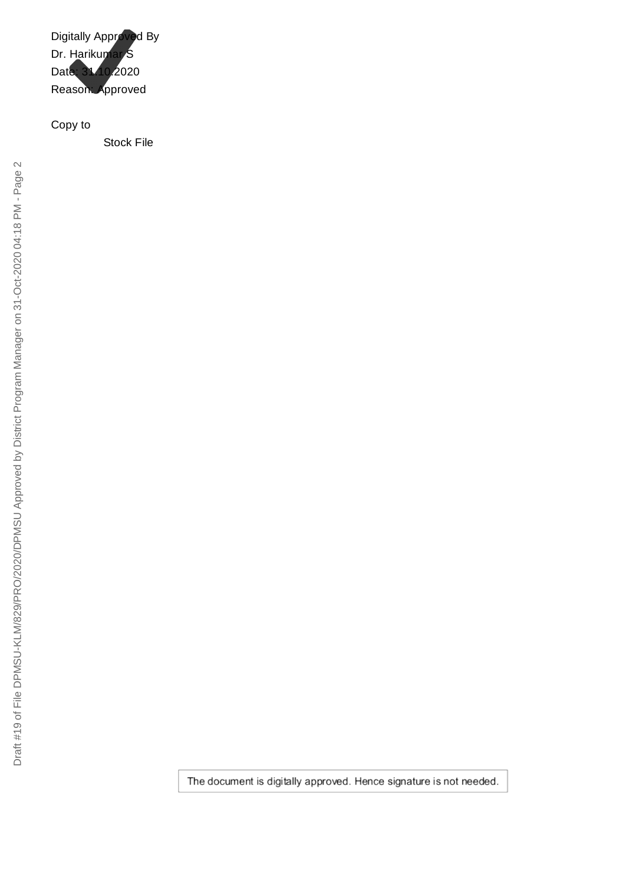Digitally Approved By Dr. Harikumar S Date: 31.10.2020 Reason: Approved

Copy to

Stock File

The document is digitally approved. Hence signature is not needed.